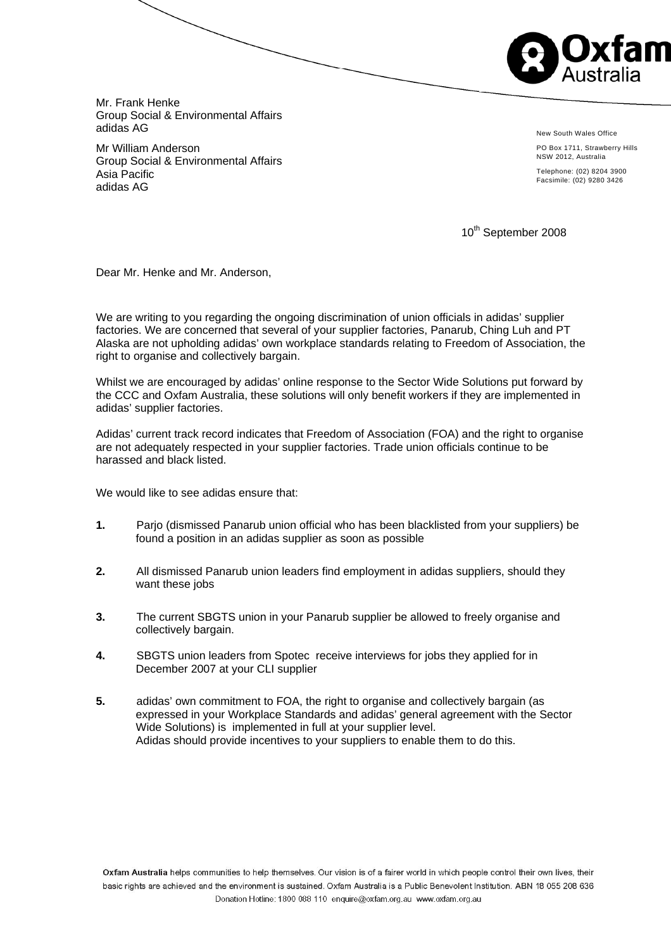

Mr. Frank Henke Group Social & Environmental Affairs adidas AG

Mr William Anderson Group Social & Environmental Affairs Asia Pacific adidas AG

New South Wales Office

PO Box 1711, Strawberry Hills NSW 2012, Australia

Telephone: (02) 8204 3900 Facsimile: (02) 9280 3426

10<sup>th</sup> September 2008

Dear Mr. Henke and Mr. Anderson,

We are writing to you regarding the ongoing discrimination of union officials in adidas' supplier factories. We are concerned that several of your supplier factories, Panarub, Ching Luh and PT Alaska are not upholding adidas' own workplace standards relating to Freedom of Association, the right to organise and collectively bargain.

Whilst we are encouraged by adidas' online response to the Sector Wide Solutions put forward by the CCC and Oxfam Australia, these solutions will only benefit workers if they are implemented in adidas' supplier factories.

Adidas' current track record indicates that Freedom of Association (FOA) and the right to organise are not adequately respected in your supplier factories. Trade union officials continue to be harassed and black listed.

We would like to see adidas ensure that:

- **1.** Parjo (dismissed Panarub union official who has been blacklisted from your suppliers) be found a position in an adidas supplier as soon as possible
- **2.** All dismissed Panarub union leaders find employment in adidas suppliers, should they want these jobs
- **3.** The current SBGTS union in your Panarub supplier be allowed to freely organise and collectively bargain.
- **4.** SBGTS union leaders from Spotec receive interviews for jobs they applied for in December 2007 at your CLI supplier
- **5.** adidas' own commitment to FOA, the right to organise and collectively bargain (as expressed in your Workplace Standards and adidas' general agreement with the Sector Wide Solutions) is implemented in full at your supplier level. Adidas should provide incentives to your suppliers to enable them to do this.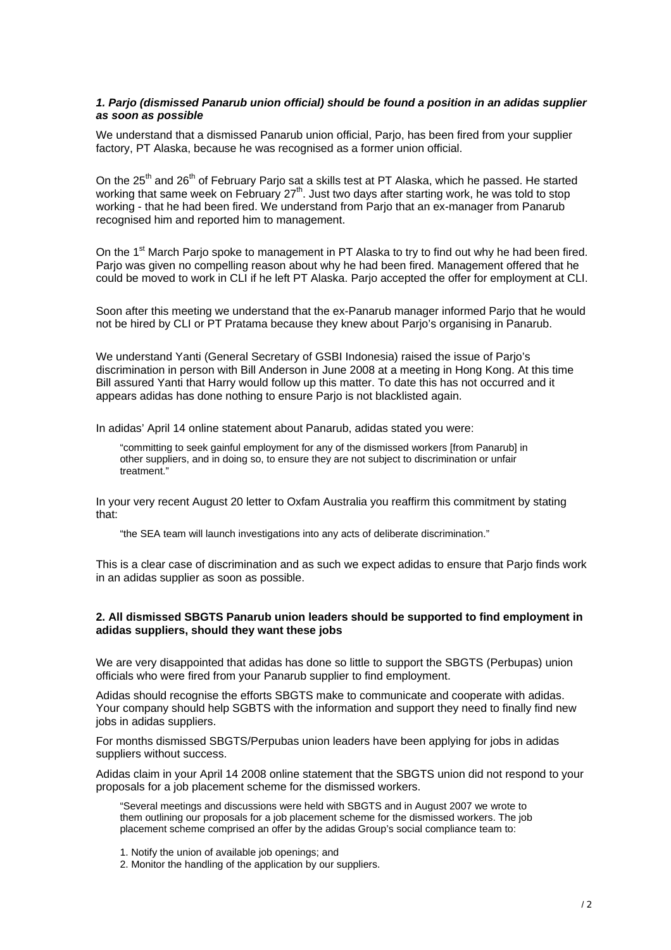### *1. Parjo (dismissed Panarub union official) should be found a position in an adidas supplier as soon as possible*

We understand that a dismissed Panarub union official, Pario, has been fired from your supplier factory, PT Alaska, because he was recognised as a former union official.

On the 25<sup>th</sup> and 26<sup>th</sup> of February Pario sat a skills test at PT Alaska, which he passed. He started working that same week on February  $27<sup>th</sup>$ . Just two days after starting work, he was told to stop working - that he had been fired. We understand from Parjo that an ex-manager from Panarub recognised him and reported him to management.

On the 1<sup>st</sup> March Parjo spoke to management in PT Alaska to try to find out why he had been fired. Parjo was given no compelling reason about why he had been fired. Management offered that he could be moved to work in CLI if he left PT Alaska. Parjo accepted the offer for employment at CLI.

Soon after this meeting we understand that the ex-Panarub manager informed Parjo that he would not be hired by CLI or PT Pratama because they knew about Parjo's organising in Panarub.

We understand Yanti (General Secretary of GSBI Indonesia) raised the issue of Parjo's discrimination in person with Bill Anderson in June 2008 at a meeting in Hong Kong. At this time Bill assured Yanti that Harry would follow up this matter. To date this has not occurred and it appears adidas has done nothing to ensure Parjo is not blacklisted again.

In adidas' April 14 online statement about Panarub, adidas stated you were:

"committing to seek gainful employment for any of the dismissed workers [from Panarub] in other suppliers, and in doing so, to ensure they are not subject to discrimination or unfair treatment."

In your very recent August 20 letter to Oxfam Australia you reaffirm this commitment by stating that:

"the SEA team will launch investigations into any acts of deliberate discrimination."

This is a clear case of discrimination and as such we expect adidas to ensure that Parjo finds work in an adidas supplier as soon as possible.

#### **2. All dismissed SBGTS Panarub union leaders should be supported to find employment in adidas suppliers, should they want these jobs**

We are very disappointed that adidas has done so little to support the SBGTS (Perbupas) union officials who were fired from your Panarub supplier to find employment.

Adidas should recognise the efforts SBGTS make to communicate and cooperate with adidas. Your company should help SGBTS with the information and support they need to finally find new jobs in adidas suppliers.

For months dismissed SBGTS/Perpubas union leaders have been applying for jobs in adidas suppliers without success.

Adidas claim in your April 14 2008 online statement that the SBGTS union did not respond to your proposals for a job placement scheme for the dismissed workers.

"Several meetings and discussions were held with SBGTS and in August 2007 we wrote to them outlining our proposals for a job placement scheme for the dismissed workers. The job placement scheme comprised an offer by the adidas Group's social compliance team to:

1. Notify the union of available job openings; and

2. Monitor the handling of the application by our suppliers.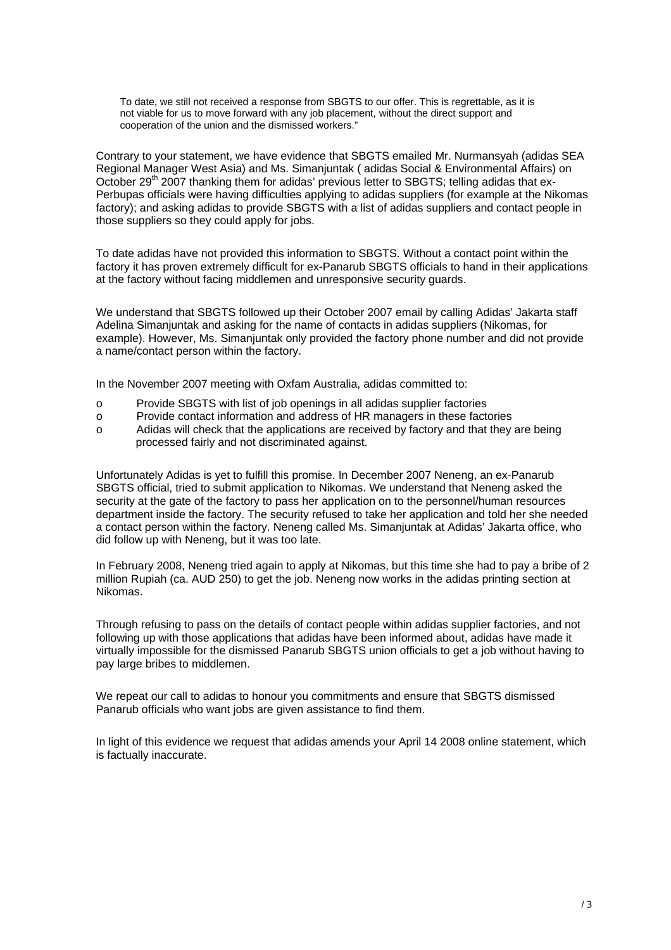To date, we still not received a response from SBGTS to our offer. This is regrettable, as it is not viable for us to move forward with any job placement, without the direct support and cooperation of the union and the dismissed workers."

Contrary to your statement, we have evidence that SBGTS emailed Mr. Nurmansyah (adidas SEA Regional Manager West Asia) and Ms. Simanjuntak ( adidas Social & Environmental Affairs) on October 29<sup>th</sup> 2007 thanking them for adidas' previous letter to SBGTS; telling adidas that ex-Perbupas officials were having difficulties applying to adidas suppliers (for example at the Nikomas factory); and asking adidas to provide SBGTS with a list of adidas suppliers and contact people in those suppliers so they could apply for jobs.

To date adidas have not provided this information to SBGTS. Without a contact point within the factory it has proven extremely difficult for ex-Panarub SBGTS officials to hand in their applications at the factory without facing middlemen and unresponsive security guards.

We understand that SBGTS followed up their October 2007 email by calling Adidas' Jakarta staff Adelina Simanjuntak and asking for the name of contacts in adidas suppliers (Nikomas, for example). However, Ms. Simanjuntak only provided the factory phone number and did not provide a name/contact person within the factory.

In the November 2007 meeting with Oxfam Australia, adidas committed to:

- o Provide SBGTS with list of job openings in all adidas supplier factories
- o Provide contact information and address of HR managers in these factories
- o Adidas will check that the applications are received by factory and that they are being processed fairly and not discriminated against.

Unfortunately Adidas is yet to fulfill this promise. In December 2007 Neneng, an ex-Panarub SBGTS official, tried to submit application to Nikomas. We understand that Neneng asked the security at the gate of the factory to pass her application on to the personnel/human resources department inside the factory. The security refused to take her application and told her she needed a contact person within the factory. Neneng called Ms. Simanjuntak at Adidas' Jakarta office, who did follow up with Neneng, but it was too late.

In February 2008, Neneng tried again to apply at Nikomas, but this time she had to pay a bribe of 2 million Rupiah (ca. AUD 250) to get the job. Neneng now works in the adidas printing section at Nikomas.

Through refusing to pass on the details of contact people within adidas supplier factories, and not following up with those applications that adidas have been informed about, adidas have made it virtually impossible for the dismissed Panarub SBGTS union officials to get a job without having to pay large bribes to middlemen.

We repeat our call to adidas to honour you commitments and ensure that SBGTS dismissed Panarub officials who want jobs are given assistance to find them.

In light of this evidence we request that adidas amends your April 14 2008 online statement, which is factually inaccurate.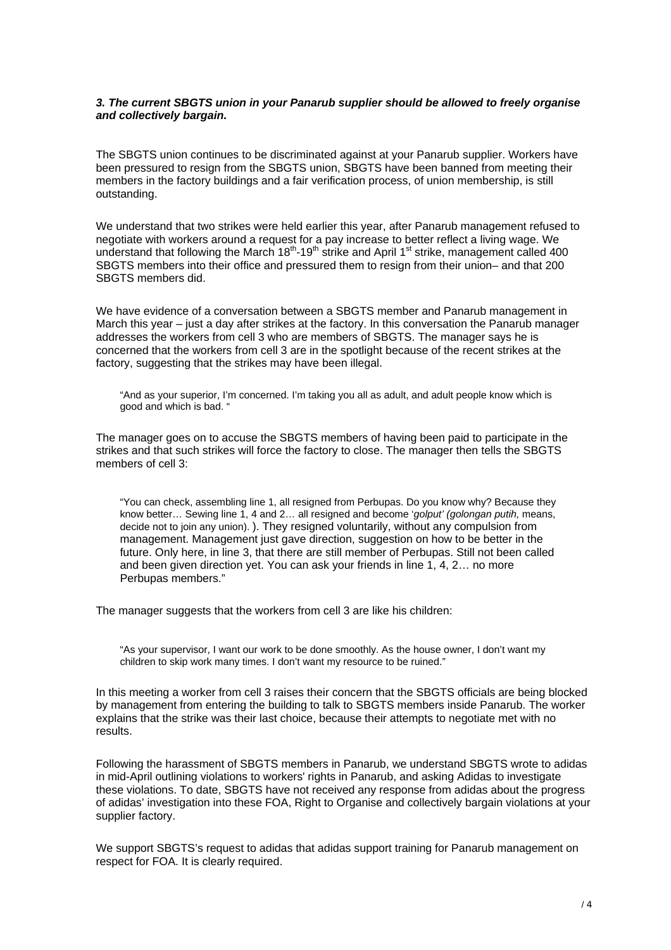## *3. The current SBGTS union in your Panarub supplier should be allowed to freely organise and collectively bargain.*

The SBGTS union continues to be discriminated against at your Panarub supplier. Workers have been pressured to resign from the SBGTS union, SBGTS have been banned from meeting their members in the factory buildings and a fair verification process, of union membership, is still outstanding.

We understand that two strikes were held earlier this year, after Panarub management refused to negotiate with workers around a request for a pay increase to better reflect a living wage. We understand that following the March  $18<sup>th</sup>$ -19<sup>th</sup> strike and April 1<sup>st</sup> strike, management called 400 SBGTS members into their office and pressured them to resign from their union– and that 200 SBGTS members did.

We have evidence of a conversation between a SBGTS member and Panarub management in March this year – just a day after strikes at the factory. In this conversation the Panarub manager addresses the workers from cell 3 who are members of SBGTS. The manager says he is concerned that the workers from cell 3 are in the spotlight because of the recent strikes at the factory, suggesting that the strikes may have been illegal.

"And as your superior, I'm concerned. I'm taking you all as adult, and adult people know which is good and which is bad. "

The manager goes on to accuse the SBGTS members of having been paid to participate in the strikes and that such strikes will force the factory to close. The manager then tells the SBGTS members of cell 3:

"You can check, assembling line 1, all resigned from Perbupas. Do you know why? Because they know better… Sewing line 1, 4 and 2… all resigned and become '*golput' (golongan putih,* means, decide not to join any union). ). They resigned voluntarily, without any compulsion from management. Management just gave direction, suggestion on how to be better in the future. Only here, in line 3, that there are still member of Perbupas. Still not been called and been given direction yet. You can ask your friends in line 1, 4, 2… no more Perbupas members."

The manager suggests that the workers from cell 3 are like his children:

"As your supervisor, I want our work to be done smoothly. As the house owner, I don't want my children to skip work many times. I don't want my resource to be ruined."

In this meeting a worker from cell 3 raises their concern that the SBGTS officials are being blocked by management from entering the building to talk to SBGTS members inside Panarub. The worker explains that the strike was their last choice, because their attempts to negotiate met with no results.

Following the harassment of SBGTS members in Panarub, we understand SBGTS wrote to adidas in mid-April outlining violations to workers' rights in Panarub, and asking Adidas to investigate these violations. To date, SBGTS have not received any response from adidas about the progress of adidas' investigation into these FOA, Right to Organise and collectively bargain violations at your supplier factory.

We support SBGTS's request to adidas that adidas support training for Panarub management on respect for FOA. It is clearly required.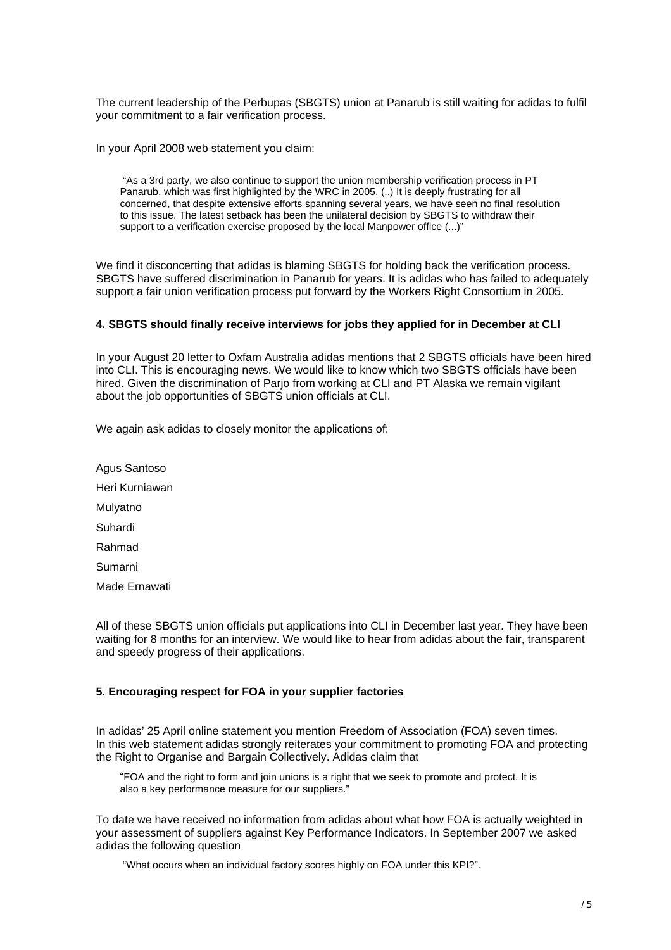The current leadership of the Perbupas (SBGTS) union at Panarub is still waiting for adidas to fulfil your commitment to a fair verification process.

In your April 2008 web statement you claim:

 "As a 3rd party, we also continue to support the union membership verification process in PT Panarub, which was first highlighted by the WRC in 2005. (..) It is deeply frustrating for all concerned, that despite extensive efforts spanning several years, we have seen no final resolution to this issue. The latest setback has been the unilateral decision by SBGTS to withdraw their support to a verification exercise proposed by the local Manpower office (...)"

We find it disconcerting that adidas is blaming SBGTS for holding back the verification process. SBGTS have suffered discrimination in Panarub for years. It is adidas who has failed to adequately support a fair union verification process put forward by the Workers Right Consortium in 2005.

## **4. SBGTS should finally receive interviews for jobs they applied for in December at CLI**

In your August 20 letter to Oxfam Australia adidas mentions that 2 SBGTS officials have been hired into CLI. This is encouraging news. We would like to know which two SBGTS officials have been hired. Given the discrimination of Pario from working at CLI and PT Alaska we remain vigilant about the job opportunities of SBGTS union officials at CLI.

We again ask adidas to closely monitor the applications of:

Agus Santoso Heri Kurniawan Mulyatno Suhardi Rahmad Sumarni Made Ernawati

All of these SBGTS union officials put applications into CLI in December last year. They have been waiting for 8 months for an interview. We would like to hear from adidas about the fair, transparent and speedy progress of their applications.

# **5. Encouraging respect for FOA in your supplier factories**

In adidas' 25 April online statement you mention Freedom of Association (FOA) seven times. In this web statement adidas strongly reiterates your commitment to promoting FOA and protecting the Right to Organise and Bargain Collectively. Adidas claim that

"FOA and the right to form and join unions is a right that we seek to promote and protect. It is also a key performance measure for our suppliers."

To date we have received no information from adidas about what how FOA is actually weighted in your assessment of suppliers against Key Performance Indicators. In September 2007 we asked adidas the following question

"What occurs when an individual factory scores highly on FOA under this KPI?".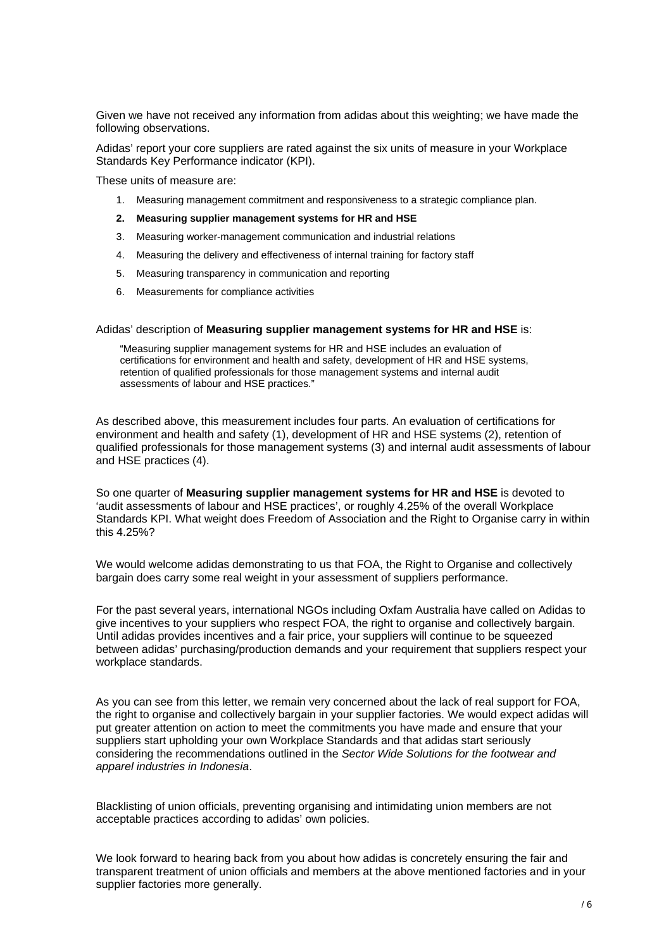Given we have not received any information from adidas about this weighting; we have made the following observations.

Adidas' report your core suppliers are rated against the six units of measure in your Workplace Standards Key Performance indicator (KPI).

These units of measure are:

- 1. Measuring management commitment and responsiveness to a strategic compliance plan.
- **2. Measuring supplier management systems for HR and HSE**
- 3. Measuring worker-management communication and industrial relations
- 4. Measuring the delivery and effectiveness of internal training for factory staff
- 5. Measuring transparency in communication and reporting
- 6. Measurements for compliance activities

#### Adidas' description of **Measuring supplier management systems for HR and HSE** is:

"Measuring supplier management systems for HR and HSE includes an evaluation of certifications for environment and health and safety, development of HR and HSE systems, retention of qualified professionals for those management systems and internal audit assessments of labour and HSE practices."

As described above, this measurement includes four parts. An evaluation of certifications for environment and health and safety (1), development of HR and HSE systems (2), retention of qualified professionals for those management systems (3) and internal audit assessments of labour and HSE practices (4).

So one quarter of **Measuring supplier management systems for HR and HSE** is devoted to 'audit assessments of labour and HSE practices', or roughly 4.25% of the overall Workplace Standards KPI. What weight does Freedom of Association and the Right to Organise carry in within this 4.25%?

We would welcome adidas demonstrating to us that FOA, the Right to Organise and collectively bargain does carry some real weight in your assessment of suppliers performance.

For the past several years, international NGOs including Oxfam Australia have called on Adidas to give incentives to your suppliers who respect FOA, the right to organise and collectively bargain. Until adidas provides incentives and a fair price, your suppliers will continue to be squeezed between adidas' purchasing/production demands and your requirement that suppliers respect your workplace standards.

As you can see from this letter, we remain very concerned about the lack of real support for FOA, the right to organise and collectively bargain in your supplier factories. We would expect adidas will put greater attention on action to meet the commitments you have made and ensure that your suppliers start upholding your own Workplace Standards and that adidas start seriously considering the recommendations outlined in the *Sector Wide Solutions for the footwear and apparel industries in Indonesia*.

Blacklisting of union officials, preventing organising and intimidating union members are not acceptable practices according to adidas' own policies.

We look forward to hearing back from you about how adidas is concretely ensuring the fair and transparent treatment of union officials and members at the above mentioned factories and in your supplier factories more generally.